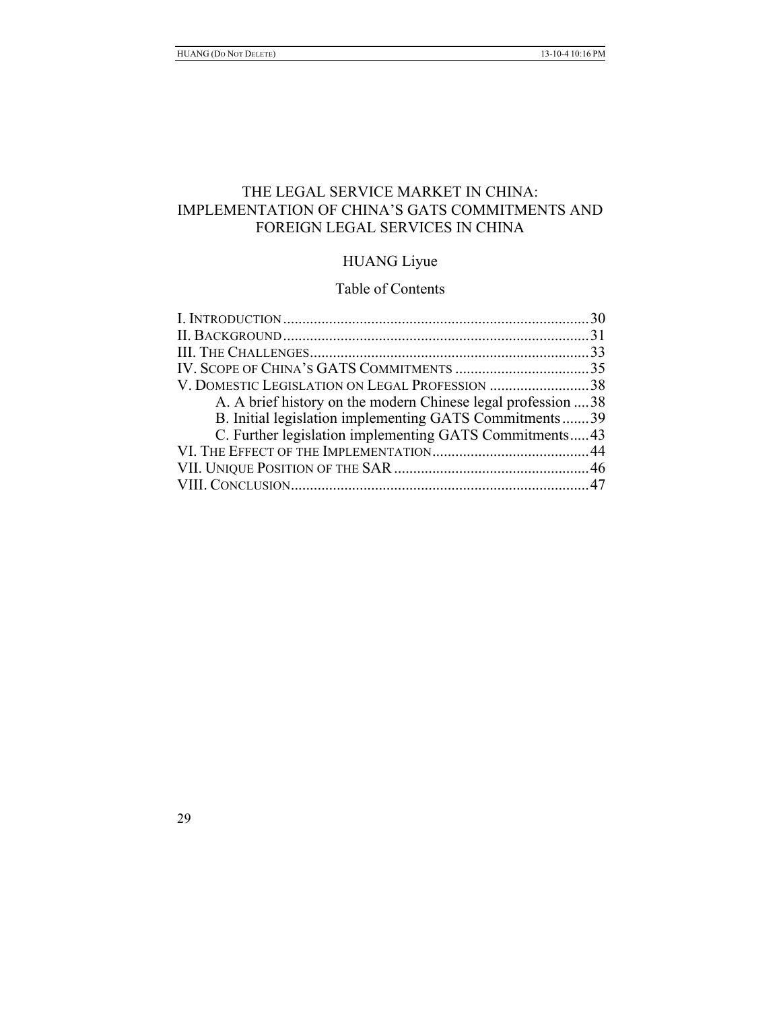# THE LEGAL SERVICE MARKET IN CHINA: IMPLEMENTATION OF CHINA'S GATS COMMITMENTS AND FOREIGN LEGAL SERVICES IN CHINA

# HUANG Liyue

# Table of Contents

| V. DOMESTIC LEGISLATION ON LEGAL PROFESSION 38<br>A. A brief history on the modern Chinese legal profession  38<br>B. Initial legislation implementing GATS Commitments39<br>C. Further legislation implementing GATS Commitments43 |  |
|-------------------------------------------------------------------------------------------------------------------------------------------------------------------------------------------------------------------------------------|--|
|                                                                                                                                                                                                                                     |  |
|                                                                                                                                                                                                                                     |  |
|                                                                                                                                                                                                                                     |  |
|                                                                                                                                                                                                                                     |  |
|                                                                                                                                                                                                                                     |  |
|                                                                                                                                                                                                                                     |  |
|                                                                                                                                                                                                                                     |  |
|                                                                                                                                                                                                                                     |  |
|                                                                                                                                                                                                                                     |  |
|                                                                                                                                                                                                                                     |  |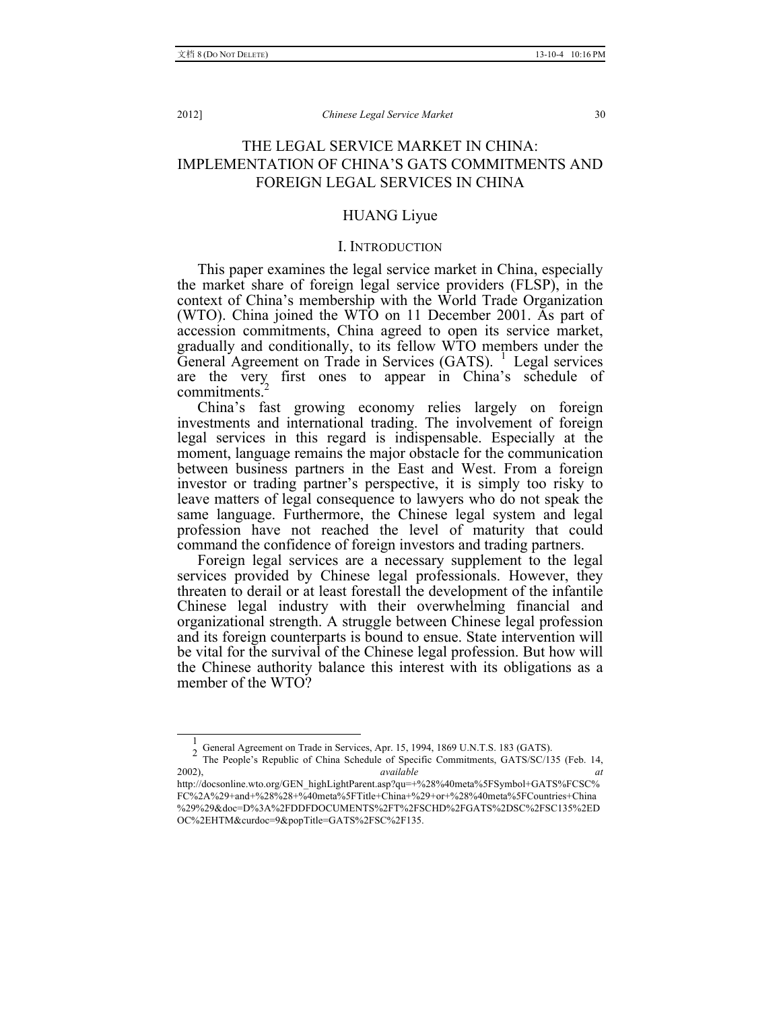# THE LEGAL SERVICE MARKET IN CHINA: IMPLEMENTATION OF CHINA'S GATS COMMITMENTS AND FOREIGN LEGAL SERVICES IN CHINA

# HUANG Liyue

# I. INTRODUCTION

This paper examines the legal service market in China, especially the market share of foreign legal service providers (FLSP), in the context of China's membership with the World Trade Organization (WTO). China joined the WTO on 11 December 2001. As part of accession commitments, China agreed to open its service market, gradually and conditionally, to its fellow WTO members under the General Agreement on Trade in Services (GATS). <sup>1</sup> Legal services are the very first ones to appear in China's schedule of commitments.<sup>4</sup>

China's fast growing economy relies largely on foreign investments and international trading. The involvement of foreign legal services in this regard is indispensable. Especially at the moment, language remains the major obstacle for the communication between business partners in the East and West. From a foreign investor or trading partner's perspective, it is simply too risky to leave matters of legal consequence to lawyers who do not speak the same language. Furthermore, the Chinese legal system and legal profession have not reached the level of maturity that could command the confidence of foreign investors and trading partners.

Foreign legal services are a necessary supplement to the legal services provided by Chinese legal professionals. However, they threaten to derail or at least forestall the development of the infantile Chinese legal industry with their overwhelming financial and organizational strength. A struggle between Chinese legal profession and its foreign counterparts is bound to ensue. State intervention will be vital for the survival of the Chinese legal profession. But how will the Chinese authority balance this interest with its obligations as a member of the WTO?

 <sup>1</sup>

<sup>&</sup>lt;sup>2</sup> General Agreement on Trade in Services, Apr. 15, 1994, 1869 U.N.T.S. 183 (GATS).<br><sup>2</sup> The People's Republic of China Schedule of Specific Commitments, GATS/SC/135 (Feb. 14, 2002), *available at* 

http://docsonline.wto.org/GEN\_highLightParent.asp?qu=+%28%40meta%5FSymbol+GATS%FCSC% FC%2A%29+and+%28%28+%40meta%5FTitle+China+%29+or+%28%40meta%5FCountries+China %29%29&doc=D%3A%2FDDFDOCUMENTS%2FT%2FSCHD%2FGATS%2DSC%2FSC135%2ED OC%2EHTM&curdoc=9&popTitle=GATS%2FSC%2F135.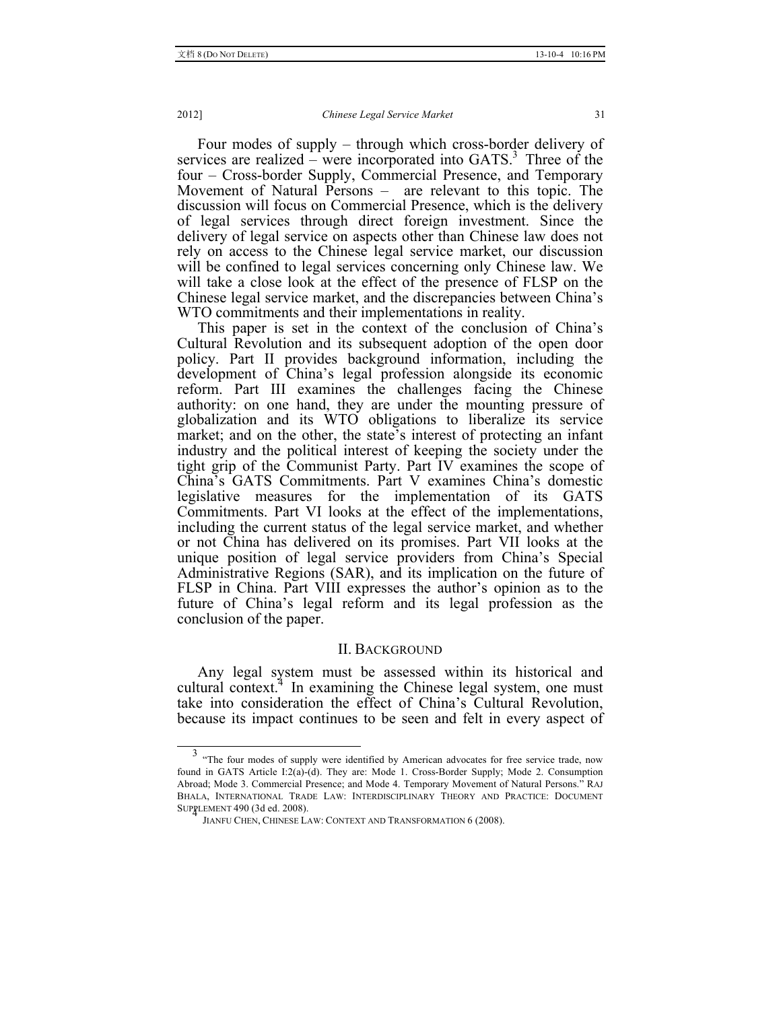Four modes of supply – through which cross-border delivery of services are realized – were incorporated into  $GATS$ .<sup>3</sup> Three of the four – Cross-border Supply, Commercial Presence, and Temporary Movement of Natural Persons – are relevant to this topic. The discussion will focus on Commercial Presence, which is the delivery of legal services through direct foreign investment. Since the delivery of legal service on aspects other than Chinese law does not rely on access to the Chinese legal service market, our discussion will be confined to legal services concerning only Chinese law. We will take a close look at the effect of the presence of FLSP on the Chinese legal service market, and the discrepancies between China's WTO commitments and their implementations in reality.

This paper is set in the context of the conclusion of China's Cultural Revolution and its subsequent adoption of the open door policy. Part II provides background information, including the development of China's legal profession alongside its economic reform. Part III examines the challenges facing the Chinese authority: on one hand, they are under the mounting pressure of globalization and its WTO obligations to liberalize its service market; and on the other, the state's interest of protecting an infant industry and the political interest of keeping the society under the tight grip of the Communist Party. Part IV examines the scope of China's GATS Commitments. Part V examines China's domestic legislative measures for the implementation of its GATS Commitments. Part VI looks at the effect of the implementations, including the current status of the legal service market, and whether or not China has delivered on its promises. Part VII looks at the unique position of legal service providers from China's Special Administrative Regions (SAR), and its implication on the future of FLSP in China. Part VIII expresses the author's opinion as to the future of China's legal reform and its legal profession as the conclusion of the paper.

### II. BACKGROUND

Any legal system must be assessed within its historical and cultural context. $4$  In examining the Chinese legal system, one must take into consideration the effect of China's Cultural Revolution, because its impact continues to be seen and felt in every aspect of

<sup>&</sup>lt;sup>3</sup> "The four modes of supply were identified by American advocates for free service trade, now found in GATS Article I:2(a)-(d). They are: Mode 1. Cross-Border Supply; Mode 2. Consumption Abroad; Mode 3. Commercial Presence; and Mode 4. Temporary Movement of Natural Persons." RAJ BHALA, INTERNATIONAL TRADE LAW: INTERDISCIPLINARY THEORY AND PRACTICE: DOCUMENT SUPRLEMENT 490 (3d ed. 2008).

JIANFU CHEN, CHINESE LAW: CONTEXT AND TRANSFORMATION 6 (2008).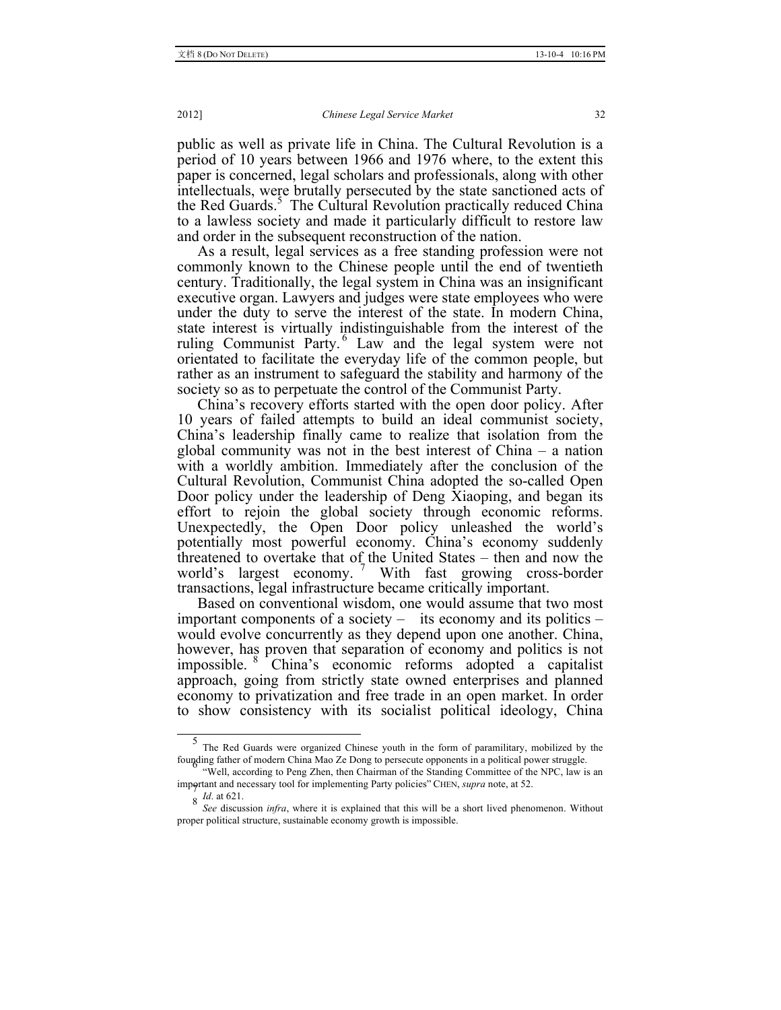public as well as private life in China. The Cultural Revolution is a period of 10 years between 1966 and 1976 where, to the extent this paper is concerned, legal scholars and professionals, along with other intellectuals, were brutally persecuted by the state sanctioned acts of the Red Guards.<sup>5</sup> The Cultural Revolution practically reduced China to a lawless society and made it particularly difficult to restore law and order in the subsequent reconstruction of the nation.

As a result, legal services as a free standing profession were not commonly known to the Chinese people until the end of twentieth century. Traditionally, the legal system in China was an insignificant executive organ. Lawyers and judges were state employees who were under the duty to serve the interest of the state. In modern China, state interest is virtually indistinguishable from the interest of the ruling Communist Party. <sup>6</sup> Law and the legal system were not orientated to facilitate the everyday life of the common people, but rather as an instrument to safeguard the stability and harmony of the society so as to perpetuate the control of the Communist Party.

China's recovery efforts started with the open door policy. After 10 years of failed attempts to build an ideal communist society, China's leadership finally came to realize that isolation from the global community was not in the best interest of China – a nation with a worldly ambition. Immediately after the conclusion of the Cultural Revolution, Communist China adopted the so-called Open Door policy under the leadership of Deng Xiaoping, and began its effort to rejoin the global society through economic reforms. Unexpectedly, the Open Door policy unleashed the world's potentially most powerful economy. China's economy suddenly threatened to overtake that of the United States – then and now the world's largest economy.<sup>7</sup> With fast growing cross-border transactions, legal infrastructure became critically important.

Based on conventional wisdom, one would assume that two most important components of a society – its economy and its politics – would evolve concurrently as they depend upon one another. China, however, has proven that separation of economy and politics is not impossible. <sup>8</sup> China's economic reforms adopted a capitalist approach, going from strictly state owned enterprises and planned economy to privatization and free trade in an open market. In order to show consistency with its socialist political ideology, China

 <sup>5</sup> The Red Guards were organized Chinese youth in the form of paramilitary, mobilized by the founding father of modern China Mao Ze Dong to persecute opponents in a political power struggle. <sup>6</sup> "Well, according to Peng Zhen, then Chairman of the Standing Committee of the NPC, law is an

important and necessary tool for implementing Party policies" CHEN, *supra* note, at 52. 8 *Id.* at 621.

*See* discussion *infra*, where it is explained that this will be a short lived phenomenon. Without proper political structure, sustainable economy growth is impossible.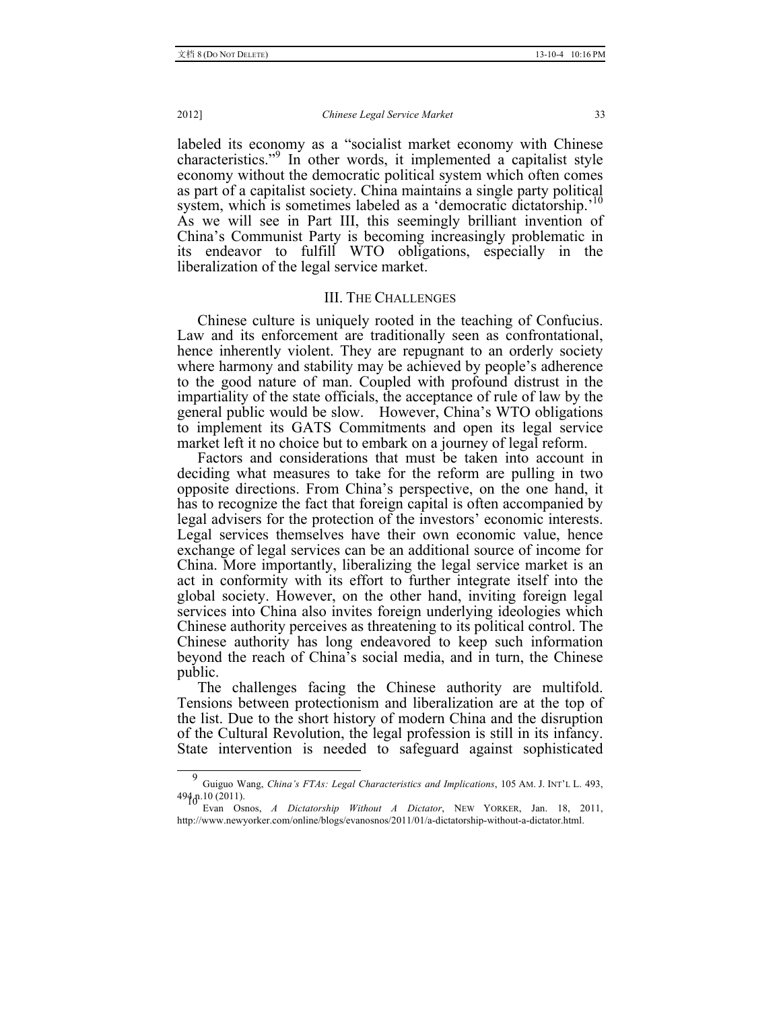labeled its economy as a "socialist market economy with Chinese characteristics."<sup>9</sup> In other words, it implemented a capitalist style economy without the democratic political system which often comes as part of a capitalist society. China maintains a single party political system, which is sometimes labeled as a 'democratic dictatorship.'<sup>10</sup> As we will see in Part III, this seemingly brilliant invention of China's Communist Party is becoming increasingly problematic in its endeavor to fulfill WTO obligations, especially in the liberalization of the legal service market.

## III. THE CHALLENGES

Chinese culture is uniquely rooted in the teaching of Confucius. Law and its enforcement are traditionally seen as confrontational, hence inherently violent. They are repugnant to an orderly society where harmony and stability may be achieved by people's adherence to the good nature of man. Coupled with profound distrust in the impartiality of the state officials, the acceptance of rule of law by the general public would be slow. However, China's WTO obligations to implement its GATS Commitments and open its legal service market left it no choice but to embark on a journey of legal reform.

Factors and considerations that must be taken into account in deciding what measures to take for the reform are pulling in two opposite directions. From China's perspective, on the one hand, it has to recognize the fact that foreign capital is often accompanied by legal advisers for the protection of the investors' economic interests. Legal services themselves have their own economic value, hence exchange of legal services can be an additional source of income for China. More importantly, liberalizing the legal service market is an act in conformity with its effort to further integrate itself into the global society. However, on the other hand, inviting foreign legal services into China also invites foreign underlying ideologies which Chinese authority perceives as threatening to its political control. The Chinese authority has long endeavored to keep such information beyond the reach of China's social media, and in turn, the Chinese public.

The challenges facing the Chinese authority are multifold. Tensions between protectionism and liberalization are at the top of the list. Due to the short history of modern China and the disruption of the Cultural Revolution, the legal profession is still in its infancy. State intervention is needed to safeguard against sophisticated

 <sup>9</sup> Guiguo Wang, *China's FTAs: Legal Characteristics and Implications*, 105 AM. J. INT'L L. 493, 494 n.10 (2011). <sup>10</sup>

Evan Osnos, *A Dictatorship Without A Dictator*, NEW YORKER, Jan. 18, 2011, http://www.newyorker.com/online/blogs/evanosnos/2011/01/a-dictatorship-without-a-dictator.html.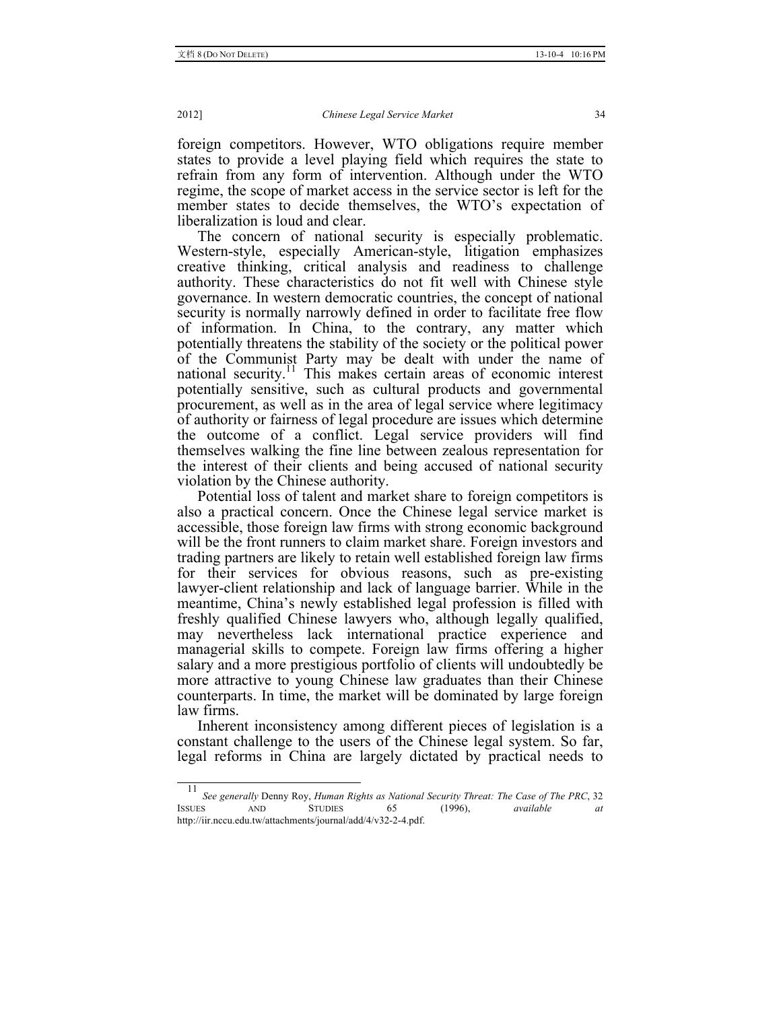foreign competitors. However, WTO obligations require member states to provide a level playing field which requires the state to refrain from any form of intervention. Although under the WTO regime, the scope of market access in the service sector is left for the member states to decide themselves, the WTO's expectation of liberalization is loud and clear.

The concern of national security is especially problematic. Western-style, especially American-style, litigation emphasizes creative thinking, critical analysis and readiness to challenge authority. These characteristics do not fit well with Chinese style governance. In western democratic countries, the concept of national security is normally narrowly defined in order to facilitate free flow of information. In China, to the contrary, any matter which potentially threatens the stability of the society or the political power of the Communist Party may be dealt with under the name of national security.11 This makes certain areas of economic interest potentially sensitive, such as cultural products and governmental procurement, as well as in the area of legal service where legitimacy of authority or fairness of legal procedure are issues which determine the outcome of a conflict. Legal service providers will find themselves walking the fine line between zealous representation for the interest of their clients and being accused of national security violation by the Chinese authority.

Potential loss of talent and market share to foreign competitors is also a practical concern. Once the Chinese legal service market is accessible, those foreign law firms with strong economic background will be the front runners to claim market share. Foreign investors and trading partners are likely to retain well established foreign law firms for their services for obvious reasons, such as pre-existing lawyer-client relationship and lack of language barrier. While in the meantime, China's newly established legal profession is filled with freshly qualified Chinese lawyers who, although legally qualified, may nevertheless lack international practice experience and managerial skills to compete. Foreign law firms offering a higher salary and a more prestigious portfolio of clients will undoubtedly be more attractive to young Chinese law graduates than their Chinese counterparts. In time, the market will be dominated by large foreign law firms.

Inherent inconsistency among different pieces of legislation is a constant challenge to the users of the Chinese legal system. So far, legal reforms in China are largely dictated by practical needs to

 <sup>11</sup> *See generally* Denny Roy, *Human Rights as National Security Threat: The Case of The PRC*, 32 ISSUES AND STUDIES 65 (1996), *available at* http://iir.nccu.edu.tw/attachments/journal/add/4/v32-2-4.pdf.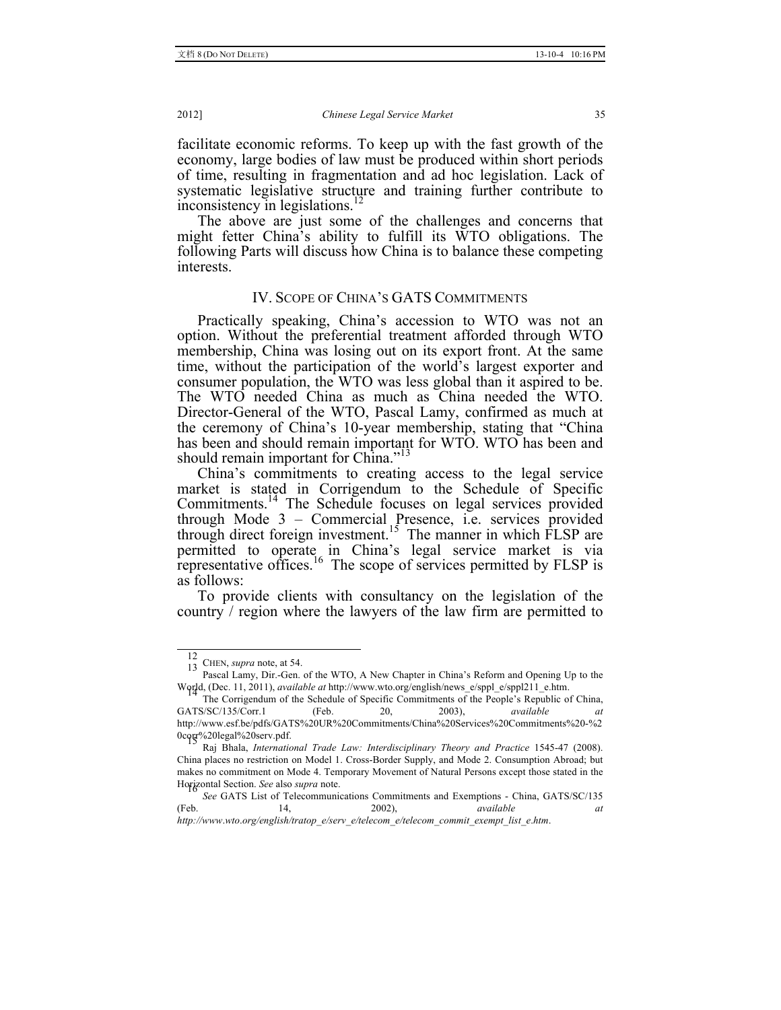facilitate economic reforms. To keep up with the fast growth of the economy, large bodies of law must be produced within short periods of time, resulting in fragmentation and ad hoc legislation. Lack of systematic legislative structure and training further contribute to inconsistency in legislations.<sup>12</sup>

The above are just some of the challenges and concerns that might fetter China's ability to fulfill its WTO obligations. The following Parts will discuss how China is to balance these competing interests.

# IV. SCOPE OF CHINA'S GATS COMMITMENTS

Practically speaking, China's accession to WTO was not an option. Without the preferential treatment afforded through WTO membership, China was losing out on its export front. At the same time, without the participation of the world's largest exporter and consumer population, the WTO was less global than it aspired to be. The WTO needed China as much as China needed the WTO. Director-General of the WTO, Pascal Lamy, confirmed as much at the ceremony of China's 10-year membership, stating that "China has been and should remain important for WTO. WTO has been and should remain important for China."<sup>13</sup>

China's commitments to creating access to the legal service market is stated in Corrigendum to the Schedule of Specific Commitments.<sup>14</sup> The Schedule focuses on legal services provided through Mode 3 – Commercial Presence, i.e. services provided through direct foreign investment.<sup>15</sup> The manner in which FLSP are permitted to operate in China's legal service market is via representative offices.<sup>16</sup> The scope of services permitted by FLSP is as follows:

To provide clients with consultancy on the legislation of the country / region where the lawyers of the law firm are permitted to

*http://www*.*wto*.*org/english/tratop\_e/serv\_e/telecom\_e/telecom\_commit\_exempt\_list\_e*.*htm*.

 <sup>12</sup>

<sup>&</sup>lt;sup>12</sup> CHEN, *supra* note, at 54.<br> **Pascal Lamy, Dir.-Gen. of the WTO, A New Chapter in China's Reform and Opening Up to the** World, (Dec. 11, 2011), *available at* http://www.wto.org/english/news\_e/sppl\_e/sppl211\_e.htm.

The Corrigendum of the Schedule of Specific Commitments of the People's Republic of China, GATS/SC/135/Corr.1 (Feb. 20, 2003), *available at*  http://www.esf.be/pdfs/GATS%20UR%20Commitments/China%20Services%20Commitments%20-%2

Raj Bhala, *International Trade Law: Interdisciplinary Theory and Practice* 1545-47 (2008). China places no restriction on Model 1. Cross-Border Supply, and Mode 2. Consumption Abroad; but makes no commitment on Mode 4. Temporary Movement of Natural Persons except those stated in the Horizontal Section. See also supra note.

*See* GATS List of Telecommunications Commitments and Exemptions - China, GATS/SC/135 (Feb. 14, 2002), *available at*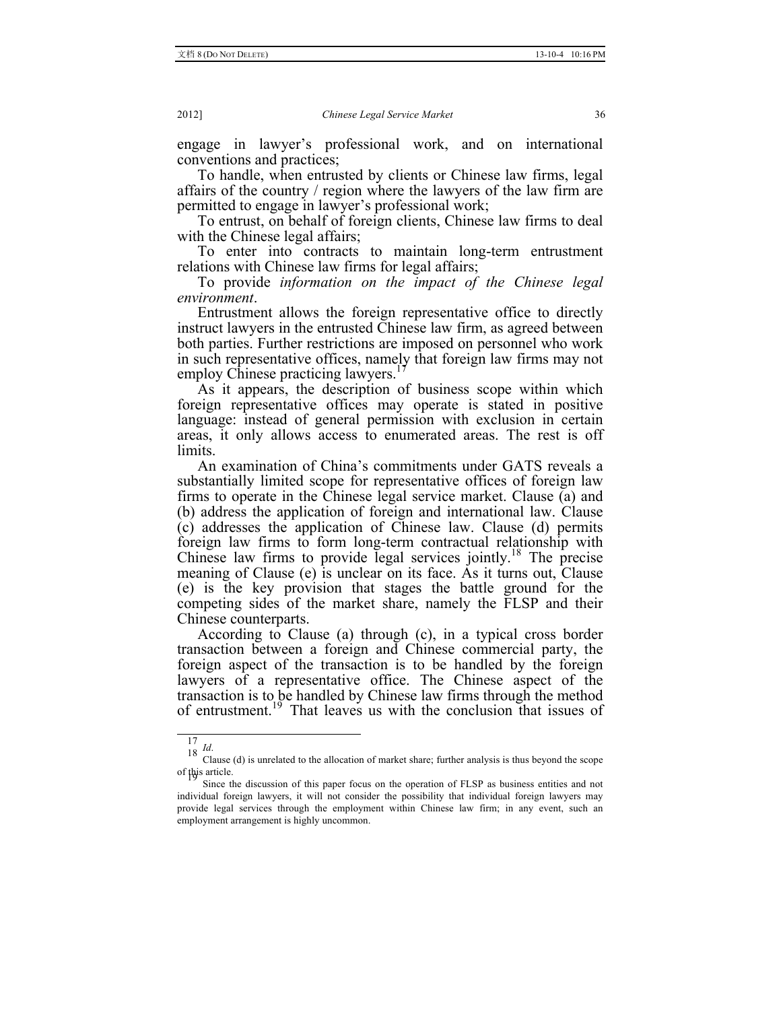engage in lawyer's professional work, and on international conventions and practices;

To handle, when entrusted by clients or Chinese law firms, legal affairs of the country / region where the lawyers of the law firm are permitted to engage in lawyer's professional work;

To entrust, on behalf of foreign clients, Chinese law firms to deal with the Chinese legal affairs;

To enter into contracts to maintain long-term entrustment relations with Chinese law firms for legal affairs;

To provide *information on the impact of the Chinese legal environment*.

Entrustment allows the foreign representative office to directly instruct lawyers in the entrusted Chinese law firm, as agreed between both parties. Further restrictions are imposed on personnel who work in such representative offices, namely that foreign law firms may not employ Chinese practicing lawyers.<sup>17</sup>

As it appears, the description of business scope within which foreign representative offices may operate is stated in positive language: instead of general permission with exclusion in certain areas, it only allows access to enumerated areas. The rest is off limits.

An examination of China's commitments under GATS reveals a substantially limited scope for representative offices of foreign law firms to operate in the Chinese legal service market. Clause (a) and (b) address the application of foreign and international law. Clause (c) addresses the application of Chinese law. Clause (d) permits foreign law firms to form long-term contractual relationship with Chinese law firms to provide legal services jointly.18 The precise meaning of Clause (e) is unclear on its face. As it turns out, Clause (e) is the key provision that stages the battle ground for the competing sides of the market share, namely the FLSP and their Chinese counterparts.

According to Clause (a) through (c), in a typical cross border transaction between a foreign and Chinese commercial party, the foreign aspect of the transaction is to be handled by the foreign lawyers of a representative office. The Chinese aspect of the transaction is to be handled by Chinese law firms through the method of entrustment.<sup>19</sup> That leaves us with the conclusion that issues of

<sup>17&</sup>lt;br>18 *Id*. Clause (d) is unrelated to the allocation of market share; further analysis is thus beyond the scope of this article. <sup>19</sup> Since the discussion of this paper focus on the operation of FLSP as business entities and not

individual foreign lawyers, it will not consider the possibility that individual foreign lawyers may provide legal services through the employment within Chinese law firm; in any event, such an employment arrangement is highly uncommon.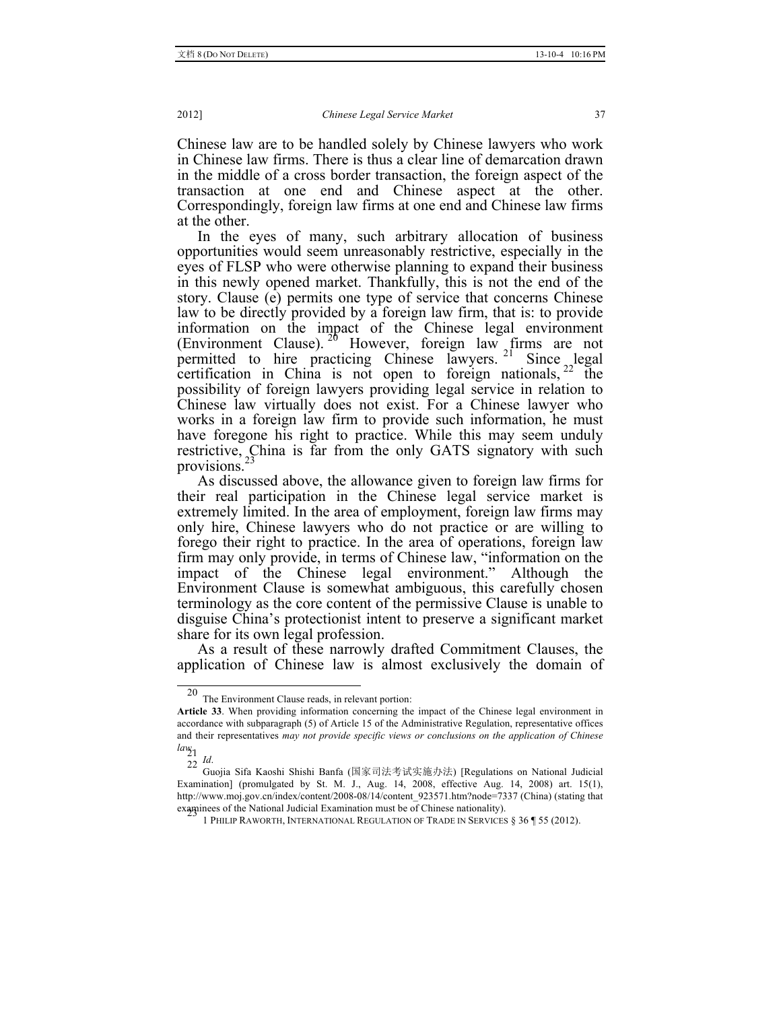Chinese law are to be handled solely by Chinese lawyers who work in Chinese law firms. There is thus a clear line of demarcation drawn in the middle of a cross border transaction, the foreign aspect of the transaction at one end and Chinese aspect at the other. Correspondingly, foreign law firms at one end and Chinese law firms at the other.

In the eyes of many, such arbitrary allocation of business opportunities would seem unreasonably restrictive, especially in the eyes of FLSP who were otherwise planning to expand their business in this newly opened market. Thankfully, this is not the end of the story. Clause (e) permits one type of service that concerns Chinese law to be directly provided by a foreign law firm, that is: to provide information on the impact of the Chinese legal environment (Environment Clause).  $2^6$  However, foreign law firms are not permitted to hire practicing Chinese lawyers.<sup>21</sup> Since legal certification in China is not open to foreign nationals,  $22$  the possibility of foreign lawyers providing legal service in relation to Chinese law virtually does not exist. For a Chinese lawyer who works in a foreign law firm to provide such information, he must have foregone his right to practice. While this may seem unduly restrictive, China is far from the only GATS signatory with such provisions.<sup>23</sup>

As discussed above, the allowance given to foreign law firms for their real participation in the Chinese legal service market is extremely limited. In the area of employment, foreign law firms may only hire, Chinese lawyers who do not practice or are willing to forego their right to practice. In the area of operations, foreign law firm may only provide, in terms of Chinese law, "information on the impact of the Chinese legal environment." Although the Environment Clause is somewhat ambiguous, this carefully chosen terminology as the core content of the permissive Clause is unable to disguise China's protectionist intent to preserve a significant market share for its own legal profession.

As a result of these narrowly drafted Commitment Clauses, the application of Chinese law is almost exclusively the domain of

The Environment Clause reads, in relevant portion:

**Article 33**. When providing information concerning the impact of the Chinese legal environment in accordance with subparagraph (5) of Article 15 of the Administrative Regulation, representative offices and their representatives *may not provide specific views or conclusions on the application of Chinese law*. 21

 $\overline{22}$  *Id.* 

Guojia Sifa Kaoshi Shishi Banfa (国家司法考试实施办法) [Regulations on National Judicial Examination] (promulgated by St. M. J., Aug. 14, 2008, effective Aug. 14, 2008) art. 15(1), http://www.moj.gov.cn/index/content/2008-08/14/content\_923571.htm?node=7337 (China) (stating that examinees of the National Judicial Examination must be of Chinese nationality).

<sup>1</sup> PHILIP RAWORTH, INTERNATIONAL REGULATION OF TRADE IN SERVICES § 36 ¶ 55 (2012).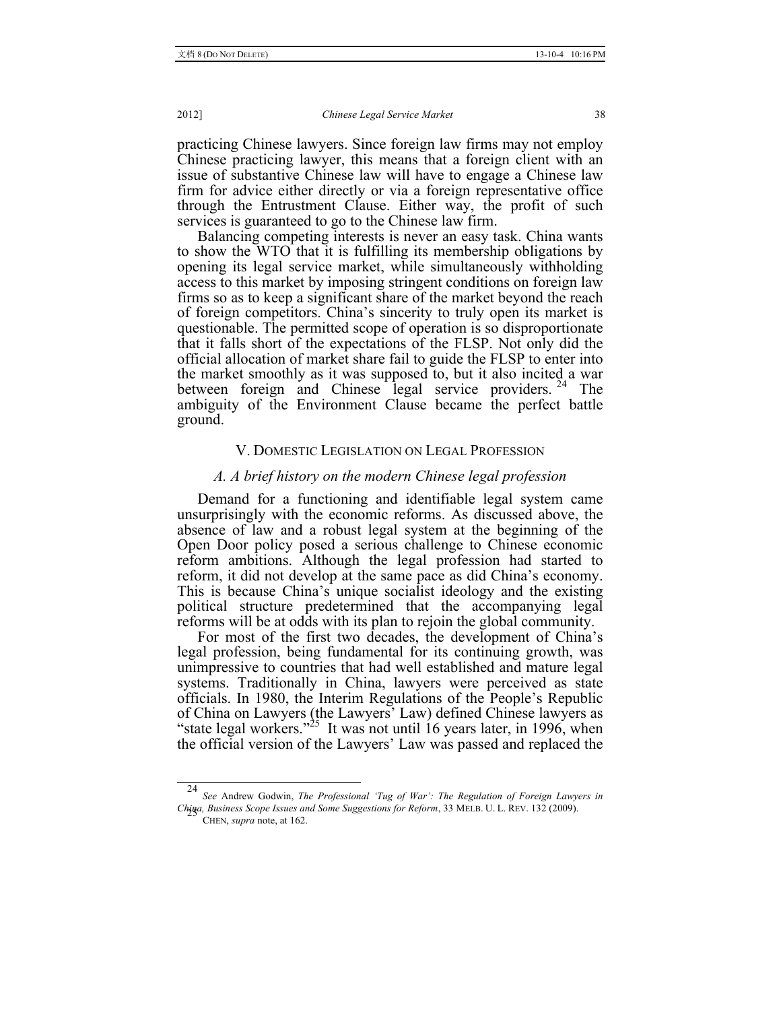practicing Chinese lawyers. Since foreign law firms may not employ Chinese practicing lawyer, this means that a foreign client with an issue of substantive Chinese law will have to engage a Chinese law firm for advice either directly or via a foreign representative office through the Entrustment Clause. Either way, the profit of such services is guaranteed to go to the Chinese law firm.

Balancing competing interests is never an easy task. China wants to show the WTO that it is fulfilling its membership obligations by opening its legal service market, while simultaneously withholding access to this market by imposing stringent conditions on foreign law firms so as to keep a significant share of the market beyond the reach of foreign competitors. China's sincerity to truly open its market is questionable. The permitted scope of operation is so disproportionate that it falls short of the expectations of the FLSP. Not only did the official allocation of market share fail to guide the FLSP to enter into the market smoothly as it was supposed to, but it also incited a war between foreign and Chinese legal service providers.<sup>24</sup> The ambiguity of the Environment Clause became the perfect battle ground.

## V. DOMESTIC LEGISLATION ON LEGAL PROFESSION

# *A. A brief history on the modern Chinese legal profession*

Demand for a functioning and identifiable legal system came unsurprisingly with the economic reforms. As discussed above, the absence of law and a robust legal system at the beginning of the Open Door policy posed a serious challenge to Chinese economic reform ambitions. Although the legal profession had started to reform, it did not develop at the same pace as did China's economy. This is because China's unique socialist ideology and the existing political structure predetermined that the accompanying legal reforms will be at odds with its plan to rejoin the global community.

For most of the first two decades, the development of China's legal profession, being fundamental for its continuing growth, was unimpressive to countries that had well established and mature legal systems. Traditionally in China, lawyers were perceived as state officials. In 1980, the Interim Regulations of the People's Republic of China on Lawyers (the Lawyers' Law) defined Chinese lawyers as "state legal workers."<sup>25</sup> It was not until 16 years later, in 1996, when the official version of the Lawyers' Law was passed and replaced the

 24 *See* Andrew Godwin, *The Professional 'Tug of War': The Regulation of Foreign Lawyers in China, Business Scope Issues and Some Suggestions for Reform*, 33 MELB. U. L. REV. 132 (2009). <sup>25</sup>

CHEN, *supra* note, at 162.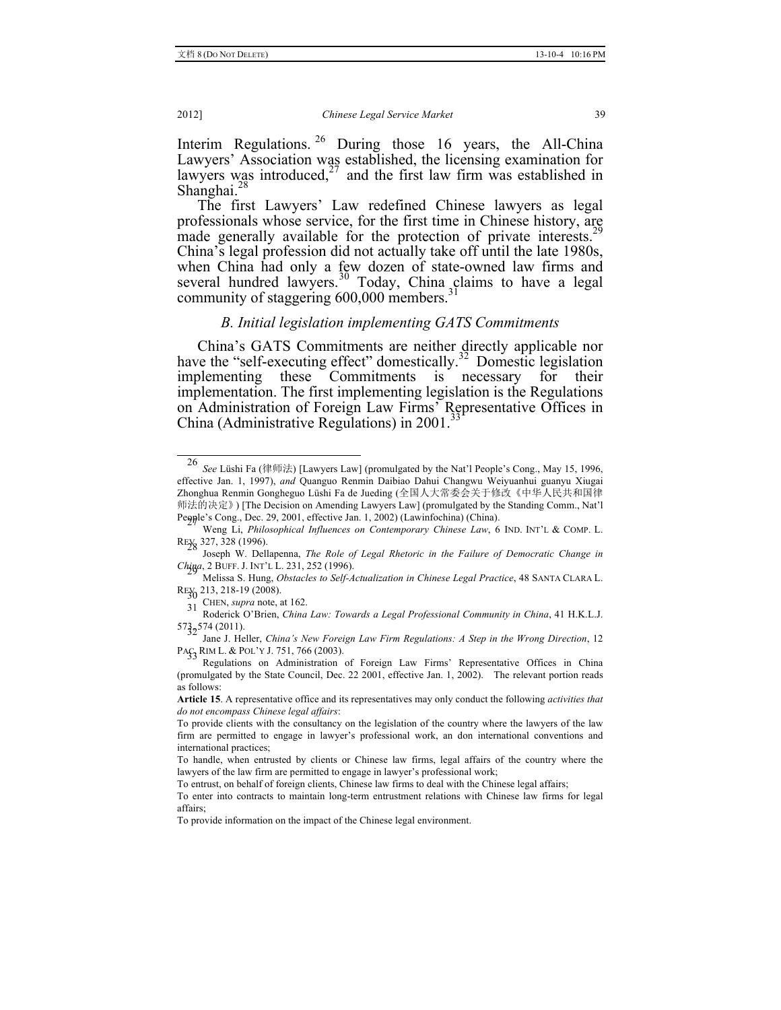Interim Regulations. <sup>26</sup> During those 16 years, the All-China Lawyers' Association was established, the licensing examination for lawyers was introduced,<sup>27</sup> and the first law firm was established in Shanghai.<sup>28</sup>

The first Lawyers' Law redefined Chinese lawyers as legal professionals whose service, for the first time in Chinese history, are made generally available for the protection of private interests.<sup>29</sup> China's legal profession did not actually take off until the late 1980s, when China had only a few dozen of state-owned law firms and several hundred lawyers. $3\overline{0}$  Today, China claims to have a legal community of staggering 600,000 members.<sup>3</sup>

## *B. Initial legislation implementing GATS Commitments*

China's GATS Commitments are neither directly applicable nor have the "self-executing effect" domestically.<sup>32</sup> Domestic legislation implementing these Commitments is necessary for their implementation. The first implementing legislation is the Regulations on Administration of Foreign Law Firms' Representative Offices in China (Administrative Regulations) in  $2001<sup>3</sup>$ 

31 CHEN, *supra* note, at 162.<br>Roderick O'Brien, *China Law: Towards a Legal Professional Community in China*, 41 H.K.L.J. 573<sub>3</sub>574 (2011).

 <sup>26</sup> *See* Lüshi Fa (律师法) [Lawyers Law] (promulgated by the Nat'l People's Cong., May 15, 1996, effective Jan. 1, 1997), *and* Quanguo Renmin Daibiao Dahui Changwu Weiyuanhui guanyu Xiugai Zhonghua Renmin Gongheguo Lüshi Fa de Jueding (全国人大常委会关于修改《中华人民共和国律 师法的决定》) [The Decision on Amending Lawyers Law] (promulgated by the Standing Comm., Nat'l

People's Cong., Dec. 29, 2001, effective Jan. 1, 2002) (Lawinfochina) (China). <sup>27</sup> Weng Li, *Philosophical Influences on Contemporary Chinese Law*, 6 IND. INT'L & COMP. L.

<sup>&</sup>lt;sup>20</sup> Joseph W. Dellapenna, *The Role of Legal Rhetoric in the Failure of Democratic Change in <i>Change 1* Joseph W. Dellapenna, *The Role of Legal Rhetoric in the Failure of Democratic Change in* 

*Chinaa*, 2. Burg, *Obstacles to Self-Actualization in Chinese Legal Practice*, 48 SANTA CLARA L. REV<sub>30</sub> 213, 218-19 (2008).

<sup>&</sup>lt;sup>52</sup> Jane J. Heller, *China's New Foreign Law Firm Regulations: A Step in the Wrong Direction*, 12 PA<sub> $\zeta$ </sub> RIM L. & POL'Y J. 751, 766 (2003).

Regulations on Administration of Foreign Law Firms' Representative Offices in China (promulgated by the State Council, Dec. 22 2001, effective Jan. 1, 2002). The relevant portion reads as follows:

**Article 15**. A representative office and its representatives may only conduct the following *activities that do not encompass Chinese legal affairs*:

To provide clients with the consultancy on the legislation of the country where the lawyers of the law firm are permitted to engage in lawyer's professional work, an don international conventions and international practices;

To handle, when entrusted by clients or Chinese law firms, legal affairs of the country where the lawyers of the law firm are permitted to engage in lawyer's professional work;

To entrust, on behalf of foreign clients, Chinese law firms to deal with the Chinese legal affairs;

To enter into contracts to maintain long-term entrustment relations with Chinese law firms for legal affairs;

To provide information on the impact of the Chinese legal environment.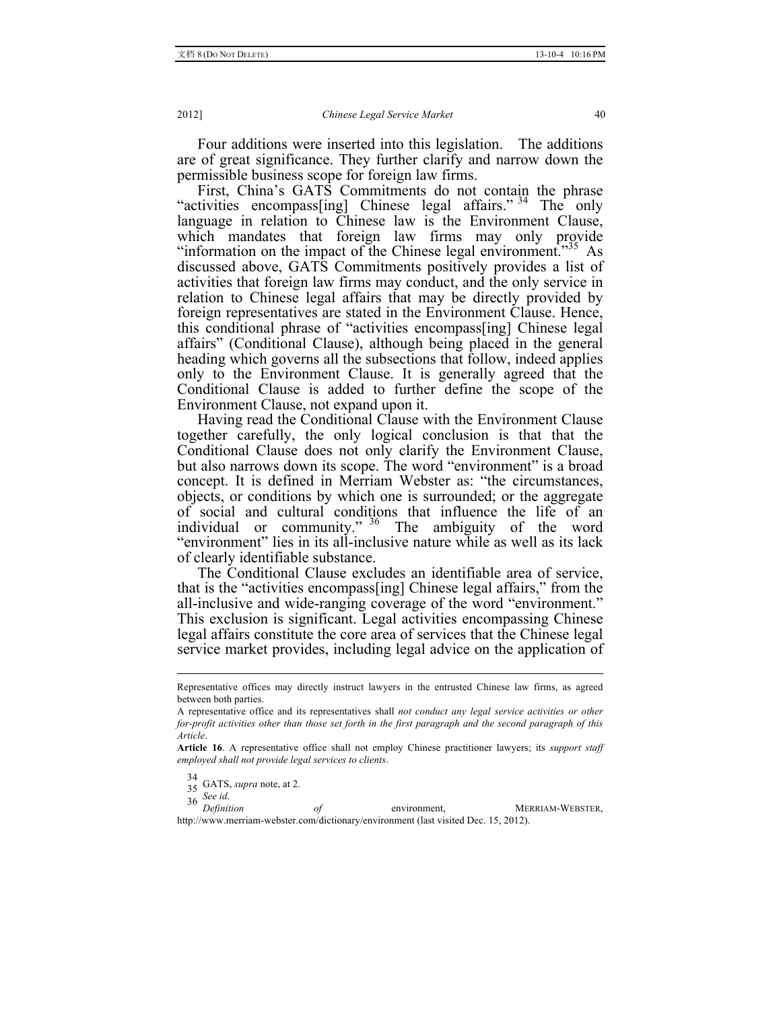Four additions were inserted into this legislation. The additions are of great significance. They further clarify and narrow down the permissible business scope for foreign law firms.

First, China's GATS Commitments do not contain the phrase "activities encompass[ing] Chinese legal affairs."<sup>34</sup> The only language in relation to Chinese law is the Environment Clause, which mandates that foreign law firms may only provide "information on the impact of the Chinese legal environment."<sup>35</sup> As discussed above, GATS Commitments positively provides a list of activities that foreign law firms may conduct, and the only service in relation to Chinese legal affairs that may be directly provided by foreign representatives are stated in the Environment Clause. Hence, this conditional phrase of "activities encompass[ing] Chinese legal affairs" (Conditional Clause), although being placed in the general heading which governs all the subsections that follow, indeed applies only to the Environment Clause. It is generally agreed that the Conditional Clause is added to further define the scope of the Environment Clause, not expand upon it.

Having read the Conditional Clause with the Environment Clause together carefully, the only logical conclusion is that that the Conditional Clause does not only clarify the Environment Clause, but also narrows down its scope. The word "environment" is a broad concept. It is defined in Merriam Webster as: "the circumstances, objects, or conditions by which one is surrounded; or the aggregate of social and cultural conditions that influence the life of an individual or community." <sup>36</sup> The ambiguity of the word "environment" lies in its all-inclusive nature while as well as its lack of clearly identifiable substance.

The Conditional Clause excludes an identifiable area of service, that is the "activities encompass[ing] Chinese legal affairs," from the all-inclusive and wide-ranging coverage of the word "environment." This exclusion is significant. Legal activities encompassing Chinese legal affairs constitute the core area of services that the Chinese legal service market provides, including legal advice on the application of

34  $35\overline{GATS}$ , *supra* note, at 2.<br>36 *See id.* 

*Definition* of environment, MERRIAM-WEBSTER, http://www.merriam-webster.com/dictionary/environment (last visited Dec. 15, 2012).

Representative offices may directly instruct lawyers in the entrusted Chinese law firms, as agreed between both parties.

A representative office and its representatives shall *not conduct any legal service activities or other for-profit activities other than those set forth in the first paragraph and the second paragraph of this Article*.

**Article 16**. A representative office shall not employ Chinese practitioner lawyers; its *support staff employed shall not provide legal services to clients*.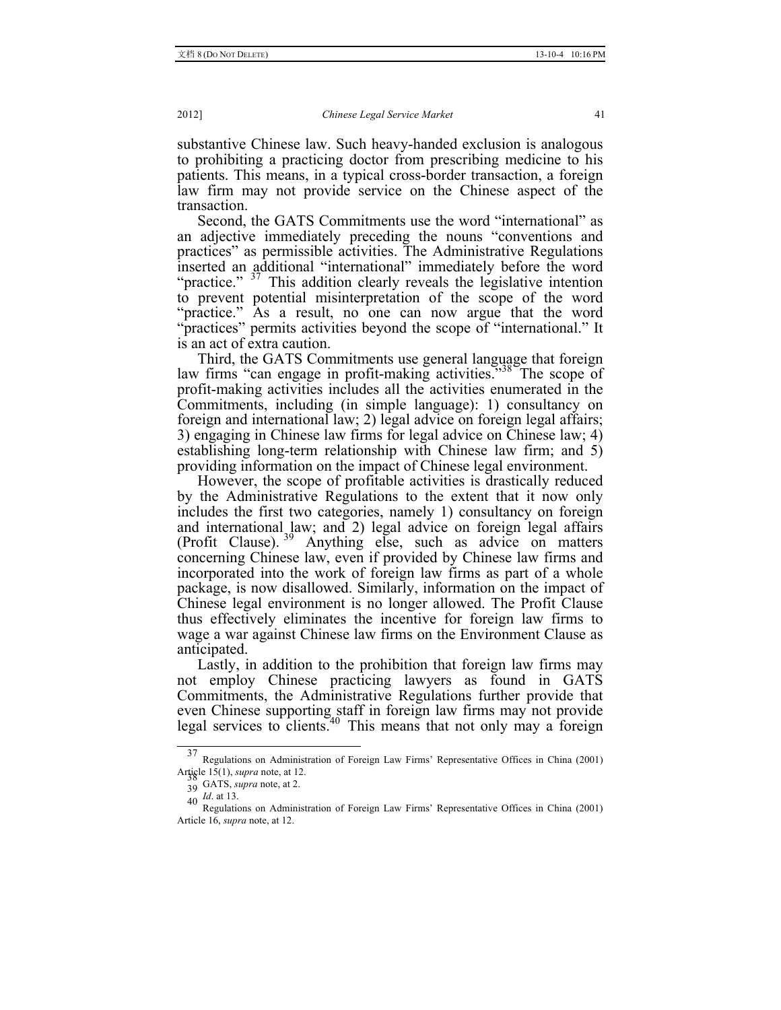substantive Chinese law. Such heavy-handed exclusion is analogous to prohibiting a practicing doctor from prescribing medicine to his patients. This means, in a typical cross-border transaction, a foreign law firm may not provide service on the Chinese aspect of the transaction.

Second, the GATS Commitments use the word "international" as an adjective immediately preceding the nouns "conventions and practices" as permissible activities. The Administrative Regulations inserted an additional "international" immediately before the word "practice."  $37$  This addition clearly reveals the legislative intention to prevent potential misinterpretation of the scope of the word "practice." As a result, no one can now argue that the word "practices" permits activities beyond the scope of "international." It is an act of extra caution.

Third, the GATS Commitments use general language that foreign law firms "can engage in profit-making activities."<sup>38</sup> The scope of profit-making activities includes all the activities enumerated in the Commitments, including (in simple language): 1) consultancy on foreign and international law; 2) legal advice on foreign legal affairs; 3) engaging in Chinese law firms for legal advice on Chinese law; 4) establishing long-term relationship with Chinese law firm; and 5) providing information on the impact of Chinese legal environment.

However, the scope of profitable activities is drastically reduced by the Administrative Regulations to the extent that it now only includes the first two categories, namely 1) consultancy on foreign and international law; and 2) legal advice on foreign legal affairs (Profit Clause).<sup>39</sup> Anything else, such as advice on matters concerning Chinese law, even if provided by Chinese law firms and incorporated into the work of foreign law firms as part of a whole package, is now disallowed. Similarly, information on the impact of Chinese legal environment is no longer allowed. The Profit Clause thus effectively eliminates the incentive for foreign law firms to wage a war against Chinese law firms on the Environment Clause as anticipated.

Lastly, in addition to the prohibition that foreign law firms may not employ Chinese practicing lawyers as found in GATS Commitments, the Administrative Regulations further provide that even Chinese supporting staff in foreign law firms may not provide legal services to clients.<sup>40</sup> This means that not only may a foreign

 <sup>37</sup> Regulations on Administration of Foreign Law Firms' Representative Offices in China (2001) Article 15(1), *supra* note, at 12.<br>39 GATS, *supra* note, at 2.

<sup>40</sup> *Id.* at 13.<br>Regulations on Administration of Foreign Law Firms' Representative Offices in China (2001) Article 16, *supra* note, at 12.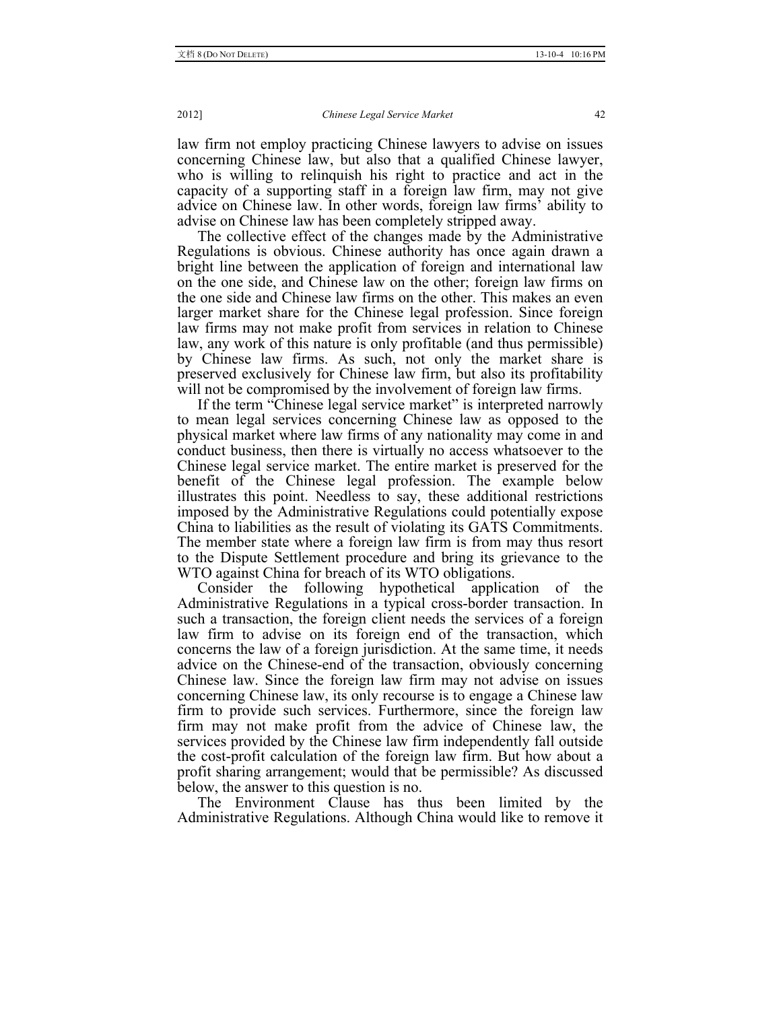law firm not employ practicing Chinese lawyers to advise on issues concerning Chinese law, but also that a qualified Chinese lawyer, who is willing to relinquish his right to practice and act in the capacity of a supporting staff in a foreign law firm, may not give advice on Chinese law. In other words, foreign law firms' ability to advise on Chinese law has been completely stripped away.

The collective effect of the changes made by the Administrative Regulations is obvious. Chinese authority has once again drawn a bright line between the application of foreign and international law on the one side, and Chinese law on the other; foreign law firms on the one side and Chinese law firms on the other. This makes an even larger market share for the Chinese legal profession. Since foreign law firms may not make profit from services in relation to Chinese law, any work of this nature is only profitable (and thus permissible) by Chinese law firms. As such, not only the market share is preserved exclusively for Chinese law firm, but also its profitability will not be compromised by the involvement of foreign law firms.

If the term "Chinese legal service market" is interpreted narrowly to mean legal services concerning Chinese law as opposed to the physical market where law firms of any nationality may come in and conduct business, then there is virtually no access whatsoever to the Chinese legal service market. The entire market is preserved for the benefit of the Chinese legal profession. The example below illustrates this point. Needless to say, these additional restrictions imposed by the Administrative Regulations could potentially expose China to liabilities as the result of violating its GATS Commitments. The member state where a foreign law firm is from may thus resort to the Dispute Settlement procedure and bring its grievance to the WTO against China for breach of its WTO obligations.

Consider the following hypothetical application of the Administrative Regulations in a typical cross-border transaction. In such a transaction, the foreign client needs the services of a foreign law firm to advise on its foreign end of the transaction, which concerns the law of a foreign jurisdiction. At the same time, it needs advice on the Chinese-end of the transaction, obviously concerning Chinese law. Since the foreign law firm may not advise on issues concerning Chinese law, its only recourse is to engage a Chinese law firm to provide such services. Furthermore, since the foreign law firm may not make profit from the advice of Chinese law, the services provided by the Chinese law firm independently fall outside the cost-profit calculation of the foreign law firm. But how about a profit sharing arrangement; would that be permissible? As discussed below, the answer to this question is no.

The Environment Clause has thus been limited by the Administrative Regulations. Although China would like to remove it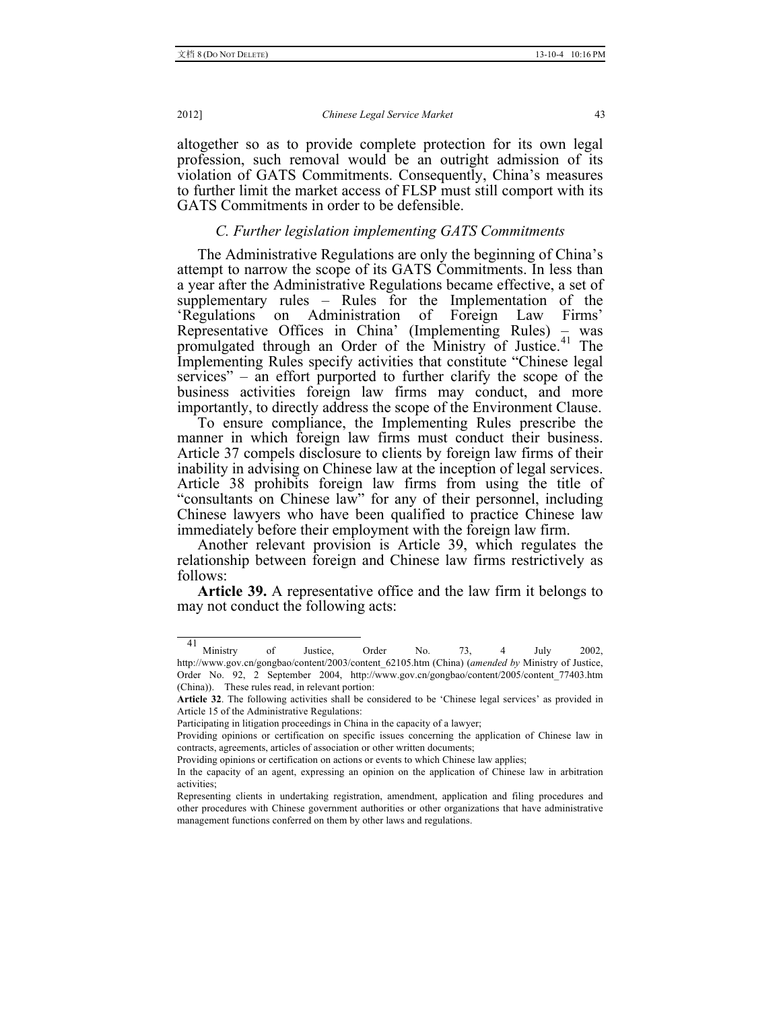altogether so as to provide complete protection for its own legal profession, such removal would be an outright admission of its violation of GATS Commitments. Consequently, China's measures to further limit the market access of FLSP must still comport with its GATS Commitments in order to be defensible.

## *C. Further legislation implementing GATS Commitments*

The Administrative Regulations are only the beginning of China's attempt to narrow the scope of its GATS Commitments. In less than a year after the Administrative Regulations became effective, a set of supplementary rules – Rules for the Implementation of the 'Regulations on Administration of Foreign Law Firms' Representative Offices in China' (Implementing Rules) – was promulgated through an Order of the Ministry of Justice.<sup>41</sup> The Implementing Rules specify activities that constitute "Chinese legal services" – an effort purported to further clarify the scope of the business activities foreign law firms may conduct, and more importantly, to directly address the scope of the Environment Clause.

To ensure compliance, the Implementing Rules prescribe the manner in which foreign law firms must conduct their business. Article 37 compels disclosure to clients by foreign law firms of their inability in advising on Chinese law at the inception of legal services. Article 38 prohibits foreign law firms from using the title of "consultants on Chinese law" for any of their personnel, including Chinese lawyers who have been qualified to practice Chinese law immediately before their employment with the foreign law firm.

Another relevant provision is Article 39, which regulates the relationship between foreign and Chinese law firms restrictively as follows:

**Article 39.** A representative office and the law firm it belongs to may not conduct the following acts:

 <sup>41</sup> Ministry of Justice, Order No. 73, 4 July 2002, http://www.gov.cn/gongbao/content/2003/content\_62105.htm (China) (*amended by* Ministry of Justice, Order No. 92, 2 September 2004, http://www.gov.cn/gongbao/content/2005/content\_77403.htm (China)). These rules read, in relevant portion:

**Article 32**. The following activities shall be considered to be 'Chinese legal services' as provided in Article 15 of the Administrative Regulations:

Participating in litigation proceedings in China in the capacity of a lawyer;

Providing opinions or certification on specific issues concerning the application of Chinese law in contracts, agreements, articles of association or other written documents;

Providing opinions or certification on actions or events to which Chinese law applies;

In the capacity of an agent, expressing an opinion on the application of Chinese law in arbitration activities;

Representing clients in undertaking registration, amendment, application and filing procedures and other procedures with Chinese government authorities or other organizations that have administrative management functions conferred on them by other laws and regulations.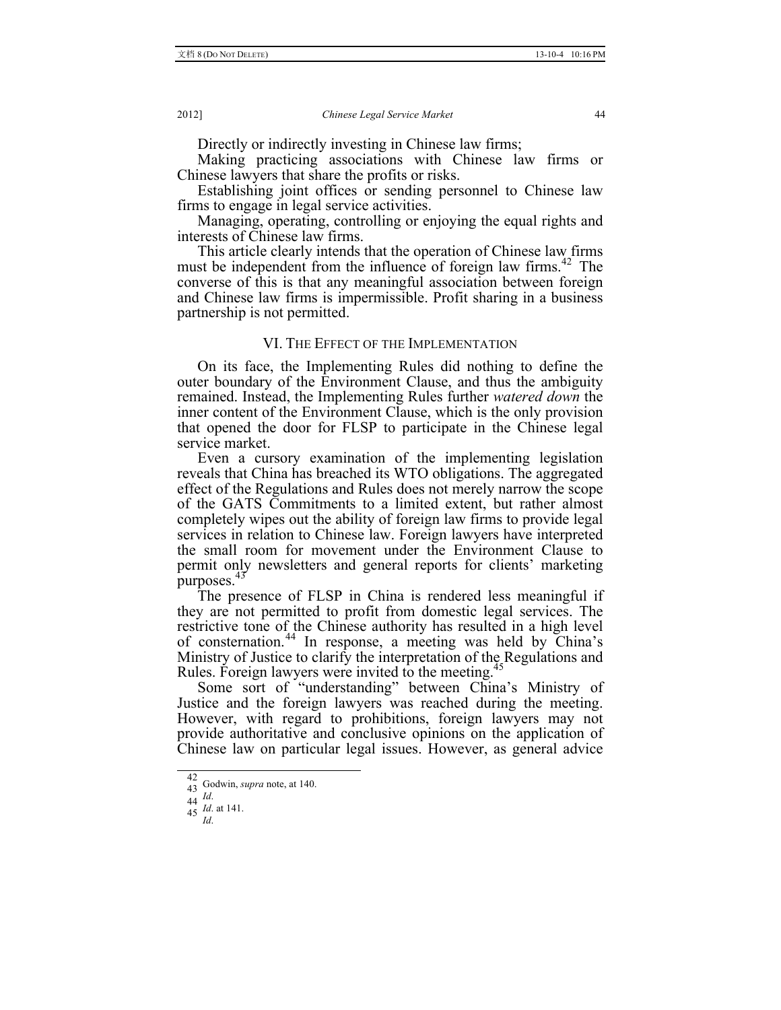Directly or indirectly investing in Chinese law firms;

Making practicing associations with Chinese law firms or Chinese lawyers that share the profits or risks.

Establishing joint offices or sending personnel to Chinese law firms to engage in legal service activities.

Managing, operating, controlling or enjoying the equal rights and interests of Chinese law firms.

This article clearly intends that the operation of Chinese law firms must be independent from the influence of foreign law firms.<sup>42</sup> The converse of this is that any meaningful association between foreign and Chinese law firms is impermissible. Profit sharing in a business partnership is not permitted.

## VI. THE EFFECT OF THE IMPLEMENTATION

On its face, the Implementing Rules did nothing to define the outer boundary of the Environment Clause, and thus the ambiguity remained. Instead, the Implementing Rules further *watered down* the inner content of the Environment Clause, which is the only provision that opened the door for FLSP to participate in the Chinese legal service market.

Even a cursory examination of the implementing legislation reveals that China has breached its WTO obligations. The aggregated effect of the Regulations and Rules does not merely narrow the scope of the GATS Commitments to a limited extent, but rather almost completely wipes out the ability of foreign law firms to provide legal services in relation to Chinese law. Foreign lawyers have interpreted the small room for movement under the Environment Clause to permit only newsletters and general reports for clients' marketing purposes.<sup>4</sup>

The presence of FLSP in China is rendered less meaningful if they are not permitted to profit from domestic legal services. The restrictive tone of the Chinese authority has resulted in a high level of consternation.<sup>44</sup> In response, a meeting was held by China's Ministry of Justice to clarify the interpretation of the Regulations and Rules. Foreign lawyers were invited to the meeting.<sup>45</sup>

Some sort of "understanding" between China's Ministry of Justice and the foreign lawyers was reached during the meeting. However, with regard to prohibitions, foreign lawyers may not provide authoritative and conclusive opinions on the application of Chinese law on particular legal issues. However, as general advice

 $\frac{1}{42}$  $\frac{42}{43}$  Godwin, *supra* note, at 140.

*Id*. at 141. <sup>45</sup> *Id*.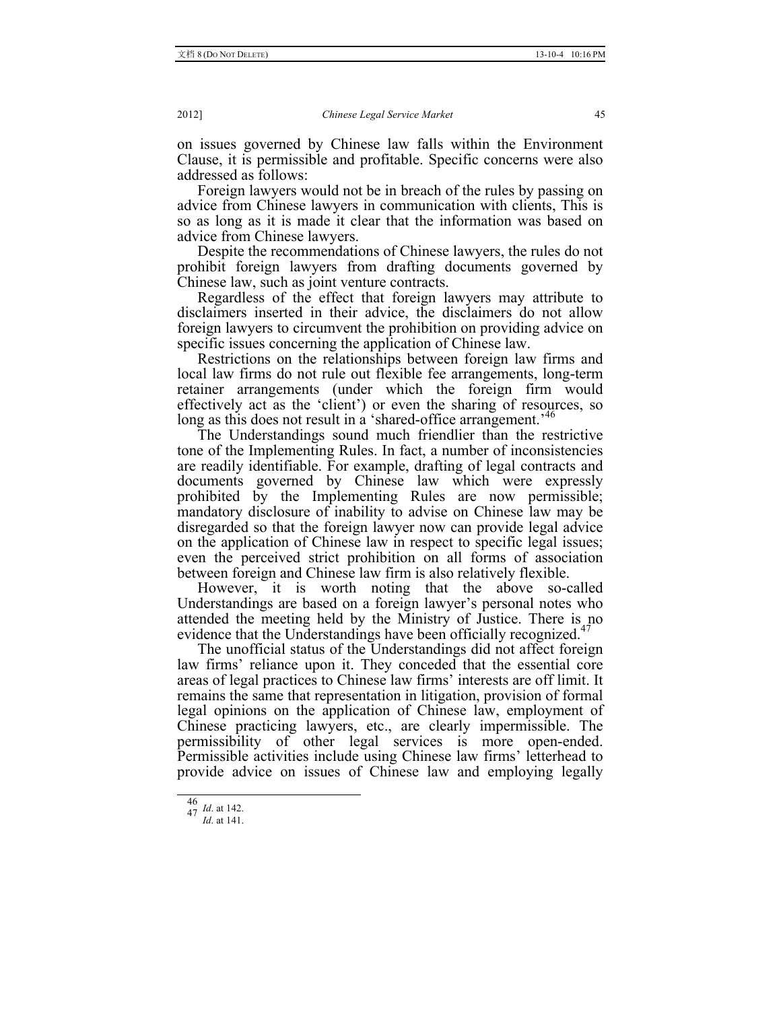on issues governed by Chinese law falls within the Environment Clause, it is permissible and profitable. Specific concerns were also addressed as follows:

Foreign lawyers would not be in breach of the rules by passing on advice from Chinese lawyers in communication with clients, This is so as long as it is made it clear that the information was based on advice from Chinese lawyers.

Despite the recommendations of Chinese lawyers, the rules do not prohibit foreign lawyers from drafting documents governed by Chinese law, such as joint venture contracts.

Regardless of the effect that foreign lawyers may attribute to disclaimers inserted in their advice, the disclaimers do not allow foreign lawyers to circumvent the prohibition on providing advice on specific issues concerning the application of Chinese law.

Restrictions on the relationships between foreign law firms and local law firms do not rule out flexible fee arrangements, long-term retainer arrangements (under which the foreign firm would effectively act as the 'client') or even the sharing of resources, so long as this does not result in a 'shared-office arrangement.<sup>146</sup>

The Understandings sound much friendlier than the restrictive tone of the Implementing Rules. In fact, a number of inconsistencies are readily identifiable. For example, drafting of legal contracts and documents governed by Chinese law which were expressly prohibited by the Implementing Rules are now permissible; mandatory disclosure of inability to advise on Chinese law may be disregarded so that the foreign lawyer now can provide legal advice on the application of Chinese law in respect to specific legal issues; even the perceived strict prohibition on all forms of association between foreign and Chinese law firm is also relatively flexible.

However, it is worth noting that the above so-called Understandings are based on a foreign lawyer's personal notes who attended the meeting held by the Ministry of Justice. There is no evidence that the Understandings have been officially recognized.<sup>47</sup>

The unofficial status of the Understandings did not affect foreign law firms' reliance upon it. They conceded that the essential core areas of legal practices to Chinese law firms' interests are off limit. It remains the same that representation in litigation, provision of formal legal opinions on the application of Chinese law, employment of Chinese practicing lawyers, etc., are clearly impermissible. The permissibility of other legal services is more open-ended. Permissible activities include using Chinese law firms' letterhead to provide advice on issues of Chinese law and employing legally

<sup>46</sup> *Id*. at 142. <sup>47</sup> *Id*. at 141.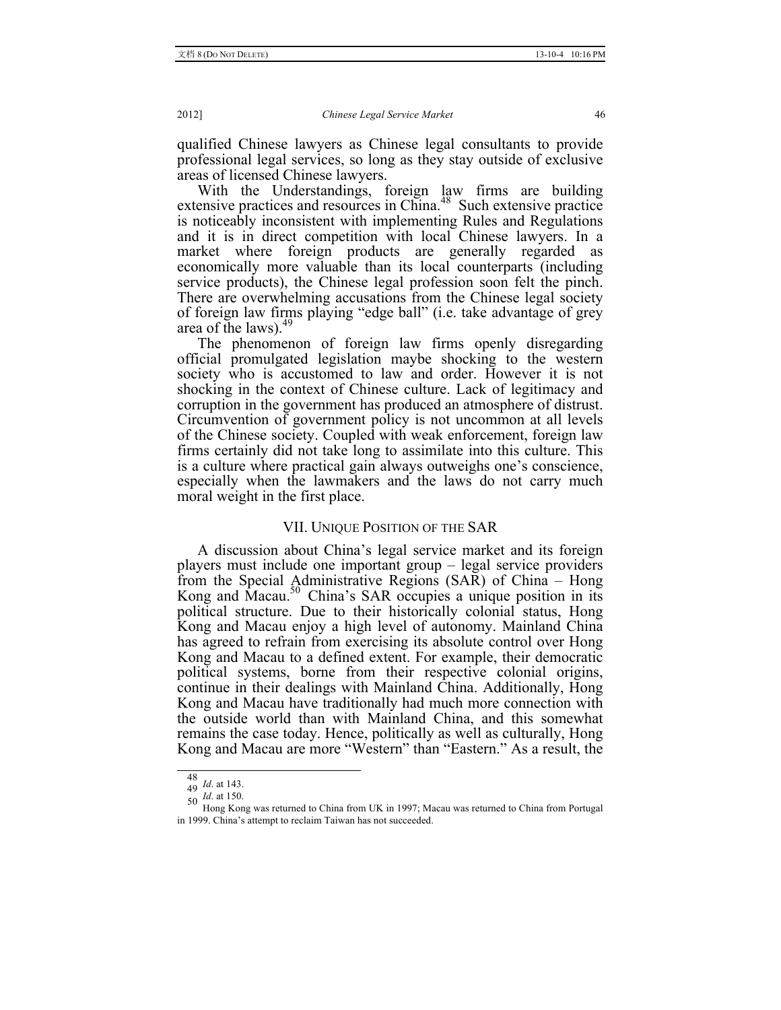qualified Chinese lawyers as Chinese legal consultants to provide professional legal services, so long as they stay outside of exclusive areas of licensed Chinese lawyers.

With the Understandings, foreign law firms are building extensive practices and resources in China.<sup>48</sup> Such extensive practice is noticeably inconsistent with implementing Rules and Regulations and it is in direct competition with local Chinese lawyers. In a market where foreign products are generally regarded as economically more valuable than its local counterparts (including service products), the Chinese legal profession soon felt the pinch. There are overwhelming accusations from the Chinese legal society of foreign law firms playing "edge ball" (i.e. take advantage of grey area of the laws).<sup>49</sup>

The phenomenon of foreign law firms openly disregarding official promulgated legislation maybe shocking to the western society who is accustomed to law and order. However it is not shocking in the context of Chinese culture. Lack of legitimacy and corruption in the government has produced an atmosphere of distrust. Circumvention of government policy is not uncommon at all levels of the Chinese society. Coupled with weak enforcement, foreign law firms certainly did not take long to assimilate into this culture. This is a culture where practical gain always outweighs one's conscience, especially when the lawmakers and the laws do not carry much moral weight in the first place.

### VII. UNIQUE POSITION OF THE SAR

A discussion about China's legal service market and its foreign players must include one important group – legal service providers from the Special Administrative Regions (SAR) of China – Hong Kong and Macau.<sup>50</sup> China's SAR occupies a unique position in its political structure. Due to their historically colonial status, Hong Kong and Macau enjoy a high level of autonomy. Mainland China has agreed to refrain from exercising its absolute control over Hong Kong and Macau to a defined extent. For example, their democratic political systems, borne from their respective colonial origins, continue in their dealings with Mainland China. Additionally, Hong Kong and Macau have traditionally had much more connection with the outside world than with Mainland China, and this somewhat remains the case today. Hence, politically as well as culturally, Hong Kong and Macau are more "Western" than "Eastern." As a result, the

<sup>48</sup> *Id.* at 143.<br>49 *Id.* at 150.<br>50 *Id.* at 150.<br>Hong Kong was returned to China from UK in 1997; Macau was returned to China from Portugal in 1999. China's attempt to reclaim Taiwan has not succeeded.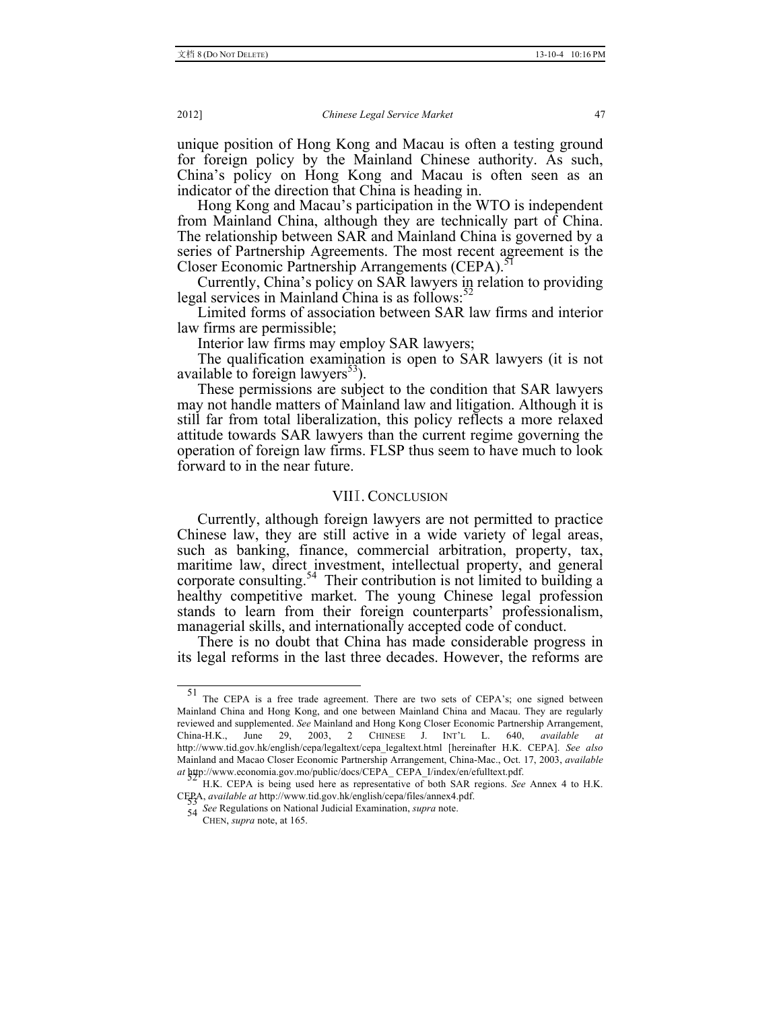unique position of Hong Kong and Macau is often a testing ground for foreign policy by the Mainland Chinese authority. As such, China's policy on Hong Kong and Macau is often seen as an indicator of the direction that China is heading in.

Hong Kong and Macau's participation in the WTO is independent from Mainland China, although they are technically part of China. The relationship between SAR and Mainland China is governed by a series of Partnership Agreements. The most recent agreement is the Closer Economic Partnership Arrangements (CEPA).<sup>5</sup>

Currently, China's policy on SAR lawyers in relation to providing legal services in Mainland China is as follows:<sup>52</sup>

Limited forms of association between SAR law firms and interior law firms are permissible;

Interior law firms may employ SAR lawyers;

The qualification examination is open to SAR lawyers (it is not available to foreign lawyers $53$ .

These permissions are subject to the condition that SAR lawyers may not handle matters of Mainland law and litigation. Although it is still far from total liberalization, this policy reflects a more relaxed attitude towards SAR lawyers than the current regime governing the operation of foreign law firms. FLSP thus seem to have much to look forward to in the near future.

# VIII. CONCLUSION

Currently, although foreign lawyers are not permitted to practice Chinese law, they are still active in a wide variety of legal areas, such as banking, finance, commercial arbitration, property, tax, maritime law, direct investment, intellectual property, and general corporate consulting.<sup>54</sup> Their contribution is not limited to building a healthy competitive market. The young Chinese legal profession stands to learn from their foreign counterparts' professionalism, managerial skills, and internationally accepted code of conduct.

There is no doubt that China has made considerable progress in its legal reforms in the last three decades. However, the reforms are

The CEPA is a free trade agreement. There are two sets of CEPA's; one signed between Mainland China and Hong Kong, and one between Mainland China and Macau. They are regularly reviewed and supplemented. *See* Mainland and Hong Kong Closer Economic Partnership Arrangement, China-H.K., June 29, 2003, 2 CHINESE J. INT'L L. 640, *available at* http://www.tid.gov.hk/english/cepa/legaltext/cepa\_legaltext.html [hereinafter H.K. CEPA]. *See also* Mainland and Macao Closer Economic Partnership Arrangement, China-Mac., Oct. 17, 2003, *available at* **http://www.economia.gov.mo/public/docs/CEPA\_CEPA\_I/index/en/efulltext.pdf.** 

H.K. CEPA is being used here as representative of both SAR regions. *See* Annex 4 to H.K. CEPA, *available at* http://www.tid.gov.hk/english/cepa/files/annex4.pdf.

*See* Regulations on National Judicial Examination, *supra* note. <sup>54</sup>

CHEN, *supra* note, at 165.